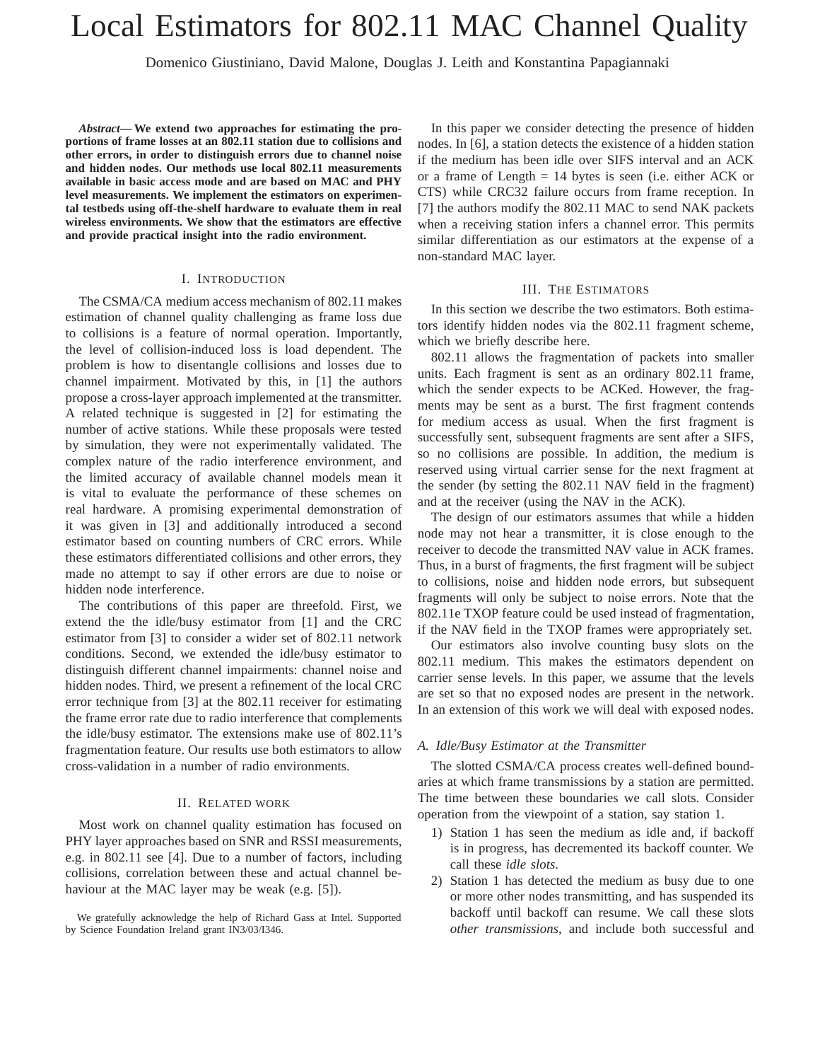# Local Estimators for 802.11 MAC Channel Quality

Domenico Giustiniano, David Malone, Douglas J. Leith and Konstantina Papagiannaki

*Abstract***— We extend two approaches for estimating the proportions of frame losses at an 802.11 station due to collisions and other errors, in order to distinguish errors due to channel noise and hidden nodes. Our methods use local 802.11 measurements available in basic access mode and are based on MAC and PHY level measurements. We implement the estimators on experimental testbeds using off-the-shelf hardware to evaluate them in real wireless environments. We show that the estimators are effective and provide practical insight into the radio environment.**

## I. INTRODUCTION

The CSMA/CA medium access mechanism of 802.11 makes estimation of channel quality challenging as frame loss due to collisions is a feature of normal operation. Importantly, the level of collision-induced loss is load dependent. The problem is how to disentangle collisions and losses due to channel impairment. Motivated by this, in [1] the authors propose a cross-layer approach implemented at the transmitter. A related technique is suggested in [2] for estimating the number of active stations. While these proposals were tested by simulation, they were not experimentally validated. The complex nature of the radio interference environment, and the limited accuracy of available channel models mean it is vital to evaluate the performance of these schemes on real hardware. A promising experimental demonstration of it was given in [3] and additionally introduced a second estimator based on counting numbers of CRC errors. While these estimators differentiated collisions and other errors, they made no attempt to say if other errors are due to noise or hidden node interference.

The contributions of this paper are threefold. First, we extend the the idle/busy estimator from [1] and the CRC estimator from [3] to consider a wider set of 802.11 network conditions. Second, we extended the idle/busy estimator to distinguish different channel impairments: channel noise and hidden nodes. Third, we present a refinement of the local CRC error technique from [3] at the 802.11 receiver for estimating the frame error rate due to radio interference that complements the idle/busy estimator. The extensions make use of 802.11's fragmentation feature. Our results use both estimators to allow cross-validation in a number of radio environments.

# II. RELATED WORK

Most work on channel quality estimation has focused on PHY layer approaches based on SNR and RSSI measurements, e.g. in 802.11 see [4]. Due to a number of factors, including collisions, correlation between these and actual channel behaviour at the MAC layer may be weak (e.g. [5]).

We gratefully acknowledge the help of Richard Gass at Intel. Supported by Science Foundation Ireland grant IN3/03/I346.

In this paper we consider detecting the presence of hidden nodes. In [6], a station detects the existence of a hidden station if the medium has been idle over SIFS interval and an ACK or a frame of Length = 14 bytes is seen (i.e. either ACK or CTS) while CRC32 failure occurs from frame reception. In [7] the authors modify the 802.11 MAC to send NAK packets when a receiving station infers a channel error. This permits similar differentiation as our estimators at the expense of a non-standard MAC layer.

#### III. THE ESTIMATORS

In this section we describe the two estimators. Both estimators identify hidden nodes via the 802.11 fragment scheme, which we briefly describe here.

802.11 allows the fragmentation of packets into smaller units. Each fragment is sent as an ordinary 802.11 frame, which the sender expects to be ACKed. However, the fragments may be sent as a burst. The first fragment contends for medium access as usual. When the first fragment is successfully sent, subsequent fragments are sent after a SIFS, so no collisions are possible. In addition, the medium is reserved using virtual carrier sense for the next fragment at the sender (by setting the 802.11 NAV field in the fragment) and at the receiver (using the NAV in the ACK).

The design of our estimators assumes that while a hidden node may not hear a transmitter, it is close enough to the receiver to decode the transmitted NAV value in ACK frames. Thus, in a burst of fragments, the first fragment will be subject to collisions, noise and hidden node errors, but subsequent fragments will only be subject to noise errors. Note that the 802.11e TXOP feature could be used instead of fragmentation, if the NAV field in the TXOP frames were appropriately set.

Our estimators also involve counting busy slots on the 802.11 medium. This makes the estimators dependent on carrier sense levels. In this paper, we assume that the levels are set so that no exposed nodes are present in the network. In an extension of this work we will deal with exposed nodes.

#### *A. Idle/Busy Estimator at the Transmitter*

The slotted CSMA/CA process creates well-defined boundaries at which frame transmissions by a station are permitted. The time between these boundaries we call slots. Consider operation from the viewpoint of a station, say station 1.

- 1) Station 1 has seen the medium as idle and, if backoff is in progress, has decremented its backoff counter. We call these *idle slots*.
- 2) Station 1 has detected the medium as busy due to one or more other nodes transmitting, and has suspended its backoff until backoff can resume. We call these slots *other transmissions*, and include both successful and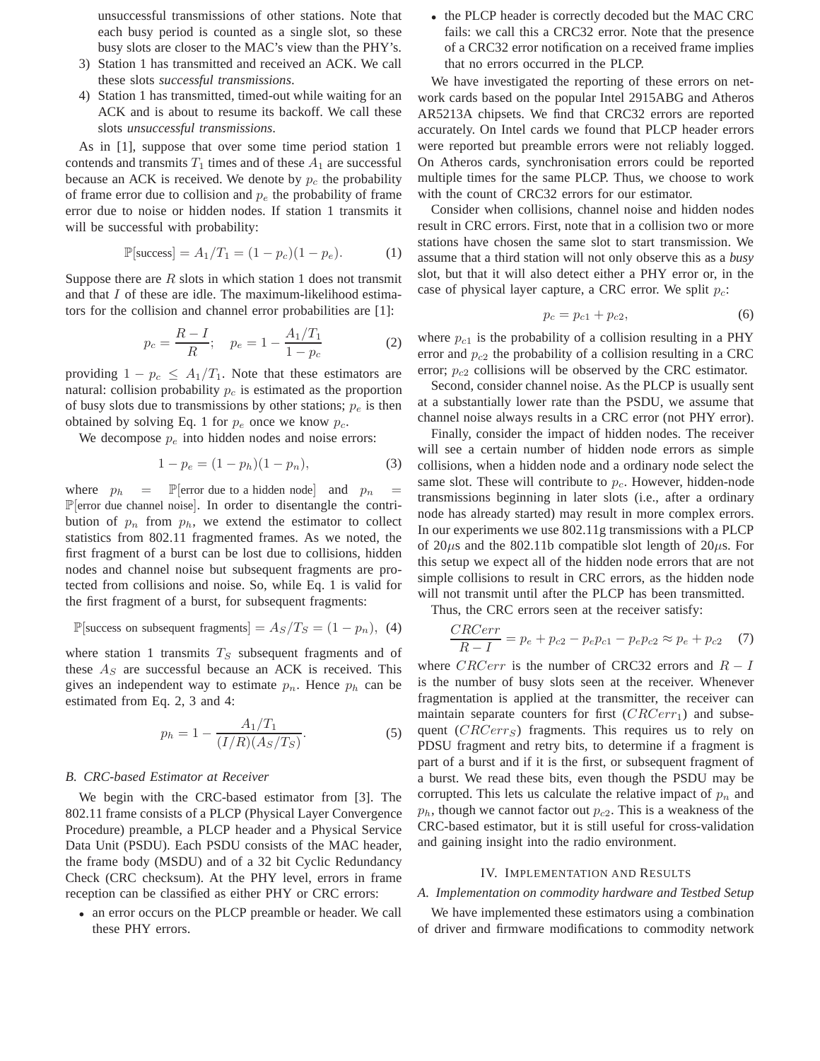unsuccessful transmissions of other stations. Note that each busy period is counted as a single slot, so these busy slots are closer to the MAC's view than the PHY's.

- 3) Station 1 has transmitted and received an ACK. We call these slots *successful transmissions*.
- 4) Station 1 has transmitted, timed-out while waiting for an ACK and is about to resume its backoff. We call these slots *unsuccessful transmissions*.

As in [1], suppose that over some time period station 1 contends and transmits  $T_1$  times and of these  $A_1$  are successful because an ACK is received. We denote by  $p_c$  the probability of frame error due to collision and  $p_e$  the probability of frame error due to noise or hidden nodes. If station 1 transmits it will be successful with probability:

$$
\mathbb{P}[\text{success}] = A_1/T_1 = (1 - p_c)(1 - p_e). \tag{1}
$$

Suppose there are  $R$  slots in which station 1 does not transmit and that I of these are idle. The maximum-likelihood estimators for the collision and channel error probabilities are [1]:

$$
p_c = \frac{R - I}{R}; \quad p_e = 1 - \frac{A_1/T_1}{1 - p_c}
$$
 (2)

providing  $1 - p_c \leq A_1/T_1$ . Note that these estimators are natural: collision probability  $p_c$  is estimated as the proportion of busy slots due to transmissions by other stations;  $p_e$  is then obtained by solving Eq. 1 for  $p_e$  once we know  $p_c$ .

We decompose  $p_e$  into hidden nodes and noise errors:

$$
1 - p_e = (1 - p_h)(1 - p_n),
$$
\n(3)

where  $p_h$  = P error due to a hidden node and  $p_n$  =  $\mathbb{P}$ [error due channel noise]. In order to disentangle the contribution of  $p_n$  from  $p_h$ , we extend the estimator to collect statistics from 802.11 fragmented frames. As we noted, the first fragment of a burst can be lost due to collisions, hidden nodes and channel noise but subsequent fragments are protected from collisions and noise. So, while Eq. 1 is valid for the first fragment of a burst, for subsequent fragments:

$$
\mathbb{P}[\text{success on subsequent fragments}] = A_S/T_S = (1 - p_n), (4)
$$

where station 1 transmits  $T<sub>S</sub>$  subsequent fragments and of these  $A<sub>S</sub>$  are successful because an ACK is received. This gives an independent way to estimate  $p_n$ . Hence  $p_h$  can be estimated from Eq. 2, 3 and 4:

$$
p_h = 1 - \frac{A_1/T_1}{(I/R)(A_S/T_S)}.\t(5)
$$

#### *B. CRC-based Estimator at Receiver*

We begin with the CRC-based estimator from [3]. The 802.11 frame consists of a PLCP (Physical Layer Convergence Procedure) preamble, a PLCP header and a Physical Service Data Unit (PSDU). Each PSDU consists of the MAC header, the frame body (MSDU) and of a 32 bit Cyclic Redundancy Check (CRC checksum). At the PHY level, errors in frame reception can be classified as either PHY or CRC errors:

• an error occurs on the PLCP preamble or header. We call these PHY errors.

• the PLCP header is correctly decoded but the MAC CRC fails: we call this a CRC32 error. Note that the presence of a CRC32 error notification on a received frame implies that no errors occurred in the PLCP.

We have investigated the reporting of these errors on network cards based on the popular Intel 2915ABG and Atheros AR5213A chipsets. We find that CRC32 errors are reported accurately. On Intel cards we found that PLCP header errors were reported but preamble errors were not reliably logged. On Atheros cards, synchronisation errors could be reported multiple times for the same PLCP. Thus, we choose to work with the count of CRC32 errors for our estimator.

Consider when collisions, channel noise and hidden nodes result in CRC errors. First, note that in a collision two or more stations have chosen the same slot to start transmission. We assume that a third station will not only observe this as a *busy* slot, but that it will also detect either a PHY error or, in the case of physical layer capture, a CRC error. We split  $p_c$ :

$$
p_c = p_{c1} + p_{c2},\t\t(6)
$$

where  $p_{c1}$  is the probability of a collision resulting in a PHY error and  $p_{c2}$  the probability of a collision resulting in a CRC error;  $p_{c2}$  collisions will be observed by the CRC estimator.

Second, consider channel noise. As the PLCP is usually sent at a substantially lower rate than the PSDU, we assume that channel noise always results in a CRC error (not PHY error).

Finally, consider the impact of hidden nodes. The receiver will see a certain number of hidden node errors as simple collisions, when a hidden node and a ordinary node select the same slot. These will contribute to  $p<sub>c</sub>$ . However, hidden-node transmissions beginning in later slots (i.e., after a ordinary node has already started) may result in more complex errors. In our experiments we use 802.11g transmissions with a PLCP of  $20\mu s$  and the 802.11b compatible slot length of  $20\mu s$ . For this setup we expect all of the hidden node errors that are not simple collisions to result in CRC errors, as the hidden node will not transmit until after the PLCP has been transmitted.

Thus, the CRC errors seen at the receiver satisfy:

$$
\frac{CRCerr}{R - I} = p_e + p_{c2} - p_e p_{c1} - p_e p_{c2} \approx p_e + p_{c2} \quad (7)
$$

where CRCerr is the number of CRC32 errors and  $R - I$ is the number of busy slots seen at the receiver. Whenever fragmentation is applied at the transmitter, the receiver can maintain separate counters for first  $(CRCerr_1)$  and subsequent  $(CRCerr<sub>S</sub>)$  fragments. This requires us to rely on PDSU fragment and retry bits, to determine if a fragment is part of a burst and if it is the first, or subsequent fragment of a burst. We read these bits, even though the PSDU may be corrupted. This lets us calculate the relative impact of  $p_n$  and  $p_h$ , though we cannot factor out  $p_{c2}$ . This is a weakness of the CRC-based estimator, but it is still useful for cross-validation and gaining insight into the radio environment.

## IV. IMPLEMENTATION AND RESULTS

# *A. Implementation on commodity hardware and Testbed Setup*

We have implemented these estimators using a combination of driver and firmware modifications to commodity network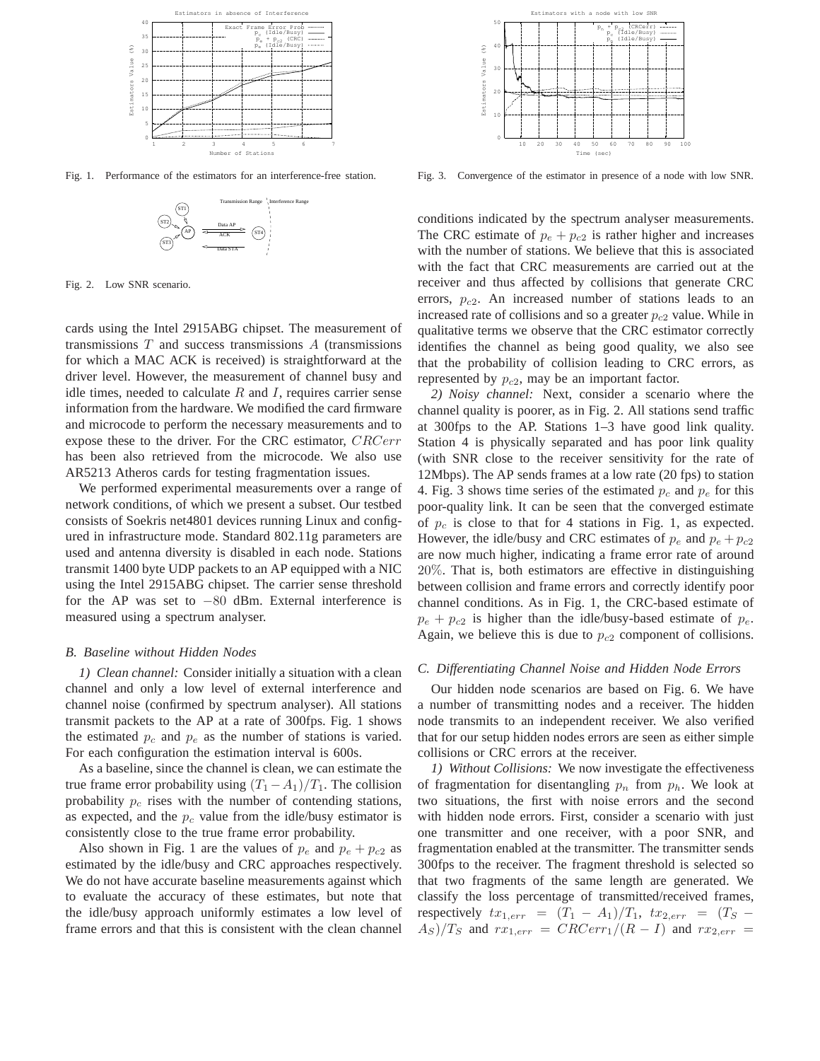

Fig. 1. Performance of the estimators for an interference-free station.



Fig. 2. Low SNR scenario.

cards using the Intel 2915ABG chipset. The measurement of transmissions  $T$  and success transmissions  $A$  (transmissions for which a MAC ACK is received) is straightforward at the driver level. However, the measurement of channel busy and idle times, needed to calculate  $R$  and  $I$ , requires carrier sense information from the hardware. We modified the card firmware and microcode to perform the necessary measurements and to expose these to the driver. For the CRC estimator, CRCerr has been also retrieved from the microcode. We also use AR5213 Atheros cards for testing fragmentation issues.

We performed experimental measurements over a range of network conditions, of which we present a subset. Our testbed consists of Soekris net4801 devices running Linux and configured in infrastructure mode. Standard 802.11g parameters are used and antenna diversity is disabled in each node. Stations transmit 1400 byte UDP packets to an AP equipped with a NIC using the Intel 2915ABG chipset. The carrier sense threshold for the AP was set to −80 dBm. External interference is measured using a spectrum analyser.

#### *B. Baseline without Hidden Nodes*

*1) Clean channel:* Consider initially a situation with a clean channel and only a low level of external interference and channel noise (confirmed by spectrum analyser). All stations transmit packets to the AP at a rate of 300fps. Fig. 1 shows the estimated  $p_c$  and  $p_e$  as the number of stations is varied. For each configuration the estimation interval is 600s.

As a baseline, since the channel is clean, we can estimate the true frame error probability using  $(T_1 - A_1)/T_1$ . The collision probability  $p_c$  rises with the number of contending stations, as expected, and the  $p_c$  value from the idle/busy estimator is consistently close to the true frame error probability.

Also shown in Fig. 1 are the values of  $p_e$  and  $p_e + p_{c2}$  as estimated by the idle/busy and CRC approaches respectively. We do not have accurate baseline measurements against which to evaluate the accuracy of these estimates, but note that the idle/busy approach uniformly estimates a low level of frame errors and that this is consistent with the clean channel



Fig. 3. Convergence of the estimator in presence of a node with low SNR.

conditions indicated by the spectrum analyser measurements. The CRC estimate of  $p_e + p_{c2}$  is rather higher and increases with the number of stations. We believe that this is associated with the fact that CRC measurements are carried out at the receiver and thus affected by collisions that generate CRC errors,  $p_{c2}$ . An increased number of stations leads to an increased rate of collisions and so a greater  $p_{c2}$  value. While in qualitative terms we observe that the CRC estimator correctly identifies the channel as being good quality, we also see that the probability of collision leading to CRC errors, as represented by  $p_{c2}$ , may be an important factor.

*2) Noisy channel:* Next, consider a scenario where the channel quality is poorer, as in Fig. 2. All stations send traffic at 300fps to the AP. Stations 1–3 have good link quality. Station 4 is physically separated and has poor link quality (with SNR close to the receiver sensitivity for the rate of 12Mbps). The AP sends frames at a low rate (20 fps) to station 4. Fig. 3 shows time series of the estimated  $p_c$  and  $p_e$  for this poor-quality link. It can be seen that the converged estimate of  $p_c$  is close to that for 4 stations in Fig. 1, as expected. However, the idle/busy and CRC estimates of  $p_e$  and  $p_e + p_{c2}$ are now much higher, indicating a frame error rate of around 20%. That is, both estimators are effective in distinguishing between collision and frame errors and correctly identify poor channel conditions. As in Fig. 1, the CRC-based estimate of  $p_e + p_{c2}$  is higher than the idle/busy-based estimate of  $p_e$ . Again, we believe this is due to  $p_{c2}$  component of collisions.

## *C. Differentiating Channel Noise and Hidden Node Errors*

Our hidden node scenarios are based on Fig. 6. We have a number of transmitting nodes and a receiver. The hidden node transmits to an independent receiver. We also verified that for our setup hidden nodes errors are seen as either simple collisions or CRC errors at the receiver.

*1) Without Collisions:* We now investigate the effectiveness of fragmentation for disentangling  $p_n$  from  $p_h$ . We look at two situations, the first with noise errors and the second with hidden node errors. First, consider a scenario with just one transmitter and one receiver, with a poor SNR, and fragmentation enabled at the transmitter. The transmitter sends 300fps to the receiver. The fragment threshold is selected so that two fragments of the same length are generated. We classify the loss percentage of transmitted/received frames, respectively  $tx_{1,err} = (T_1 - A_1)/T_1$ ,  $tx_{2,err} = (T_S (A<sub>S</sub>)/T<sub>S</sub>$  and  $rx_{1,err} = CRCerr_1/(R-I)$  and  $rx_{2,err} =$